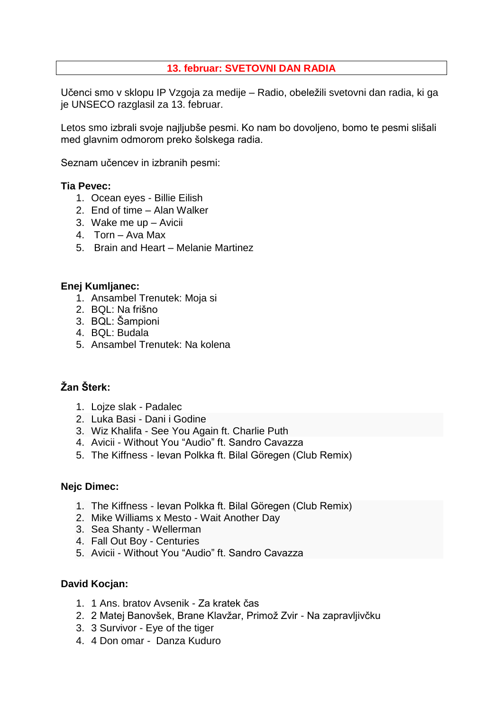## **13. februar: SVETOVNI DAN RADIA**

Učenci smo v sklopu IP Vzgoja za medije – Radio, obeležili svetovni dan radia, ki ga je UNSECO razglasil za 13. februar.

Letos smo izbrali svoje najljubše pesmi. Ko nam bo dovoljeno, bomo te pesmi slišali med glavnim odmorom preko šolskega radia.

Seznam učencev in izbranih pesmi:

#### **Tia Pevec:**

- 1. Ocean eyes Billie Eilish
- 2. End of time Alan Walker
- 3. Wake me up Avicii
- 4. Torn Ava Max
- 5. Brain and Heart Melanie Martinez

#### **Enej Kumljanec:**

- 1. Ansambel Trenutek: Moja si
- 2. BQL: Na frišno
- 3. BQL: Šampioni
- 4. BQL: Budala
- 5. Ansambel Trenutek: Na kolena

# **Žan Šterk:**

- 1. Lojze slak Padalec
- 2. Luka Basi Dani i Godine
- 3. Wiz Khalifa See You Again ft. Charlie Puth
- 4. Avicii Without You "Audio" ft. Sandro Cavazza
- 5. The Kiffness Ievan Polkka ft. Bilal Göregen (Club Remix)

## **Nejc Dimec:**

- 1. The Kiffness Ievan Polkka ft. Bilal Göregen (Club Remix)
- 2. Mike Williams x Mesto Wait Another Day
- 3. Sea Shanty Wellerman
- 4. Fall Out Boy Centuries
- 5. Avicii Without You "Audio" ft. Sandro Cavazza

## **David Kocjan:**

- 1. 1 Ans. bratov Avsenik Za kratek čas
- 2. 2 Matej Banovšek, Brane Klavžar, Primož Zvir Na zapravljivčku
- 3. 3 Survivor Eye of the tiger
- 4. 4 Don omar Danza Kuduro